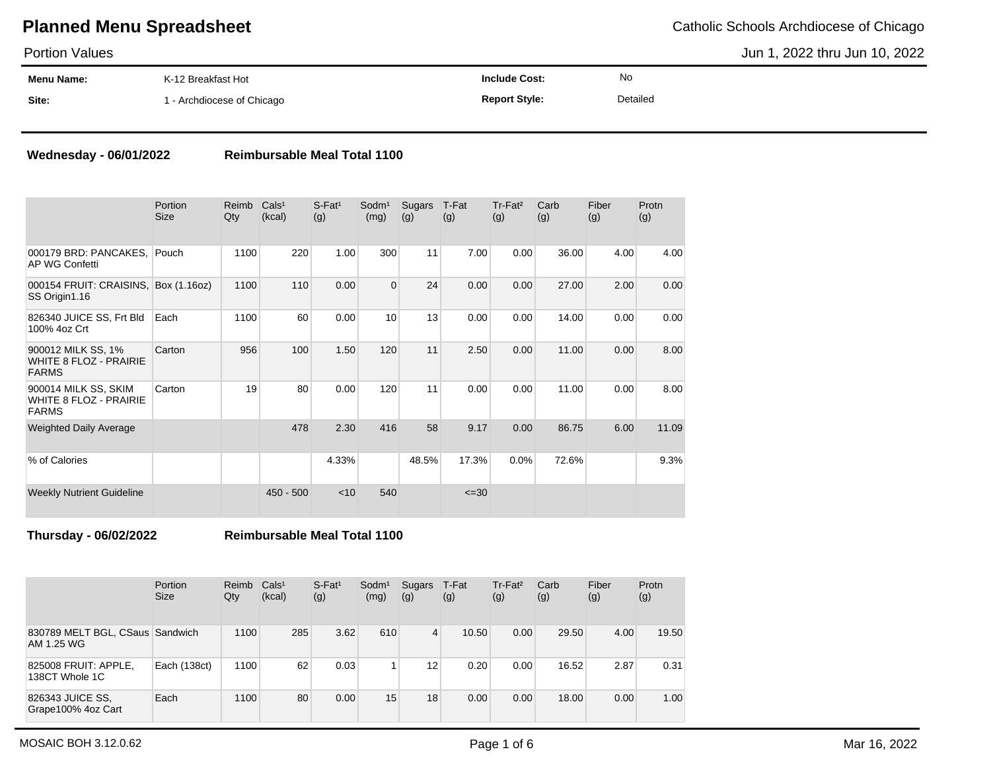Portion Values

**Menu Name: Site:** K-12 Breakfast Hot 1 - Archdiocese of Chicago **Include Cost: Report Style:** No Detailed Jun 1, 2022 thru Jun 10, 2022

### **Wednesday - 06/01/2022 Reimbursable Meal Total 1100**

|                                                                       | <b>Portion</b><br>Size | Reimb<br>Qty | Cals <sup>1</sup><br>(kcal) | $S$ -Fat <sup>1</sup><br>(g) | Sodm <sup>1</sup><br>(mg) | Sugars<br>(g) | T-Fat<br>(g) | Tr-Fat <sup>2</sup><br>(g) | Carb<br>(g) | Fiber<br>(g) | Protn<br>(g) |
|-----------------------------------------------------------------------|------------------------|--------------|-----------------------------|------------------------------|---------------------------|---------------|--------------|----------------------------|-------------|--------------|--------------|
| 000179 BRD: PANCAKES,<br>AP WG Confetti                               | Pouch                  | 1100         | 220                         | 1.00                         | 300                       | 11            | 7.00         | 0.00                       | 36.00       | 4.00         | 4.00         |
| 000154 FRUIT: CRAISINS, Box (1.16oz)<br>SS Origin1.16                 |                        | 1100         | 110                         | 0.00                         | $\overline{0}$            | 24            | 0.00         | 0.00                       | 27.00       | 2.00         | 0.00         |
| 826340 JUICE SS, Frt Bld<br>100% 4oz Crt                              | Each                   | 1100         | 60                          | 0.00                         | 10                        | 13            | 0.00         | 0.00                       | 14.00       | 0.00         | 0.00         |
| 900012 MILK SS, 1%<br><b>WHITE 8 FLOZ - PRAIRIE</b><br><b>FARMS</b>   | Carton                 | 956          | 100                         | 1.50                         | 120                       | 11            | 2.50         | 0.00                       | 11.00       | 0.00         | 8.00         |
| 900014 MILK SS, SKIM<br><b>WHITE 8 FLOZ - PRAIRIE</b><br><b>FARMS</b> | Carton                 | 19           | 80                          | 0.00                         | 120                       | 11            | 0.00         | 0.00                       | 11.00       | 0.00         | 8.00         |
| <b>Weighted Daily Average</b>                                         |                        |              | 478                         | 2.30                         | 416                       | 58            | 9.17         | 0.00                       | 86.75       | 6.00         | 11.09        |
| % of Calories                                                         |                        |              |                             | 4.33%                        |                           | 48.5%         | 17.3%        | 0.0%                       | 72.6%       |              | 9.3%         |
| <b>Weekly Nutrient Guideline</b>                                      |                        |              | $450 - 500$                 | $<$ 10                       | 540                       |               | $\leq 30$    |                            |             |              |              |

**Thursday - 06/02/2022 Reimbursable Meal Total 1100**

|                                               | Portion<br><b>Size</b> | Reimb<br>Qty | Cals <sup>1</sup><br>(kcal) | $S$ -Fat <sup>1</sup><br>(g) | Sodm <sup>1</sup><br>(mg) | Sugars<br>(g) | T-Fat<br>(g) | Tr-Fat <sup>2</sup><br>(g) | Carb<br>(g) | Fiber<br>(g) | Protn<br>(g) |
|-----------------------------------------------|------------------------|--------------|-----------------------------|------------------------------|---------------------------|---------------|--------------|----------------------------|-------------|--------------|--------------|
| 830789 MELT BGL, CSaus Sandwich<br>AM 1.25 WG |                        | 1100         | 285                         | 3.62                         | 610                       | 4             | 10.50        | 0.00                       | 29.50       | 4.00         | 19.50        |
| 825008 FRUIT: APPLE,<br>138CT Whole 1C        | Each (138ct)           | 1100         | 62                          | 0.03                         |                           | 12            | 0.20         | 0.00                       | 16.52       | 2.87         | 0.31         |
| 826343 JUICE SS,<br>Grape100% 4oz Cart        | Each                   | 1100         | 80                          | 0.00                         | 15                        | 18            | 0.00         | 0.00                       | 18.00       | 0.00         | 1.00         |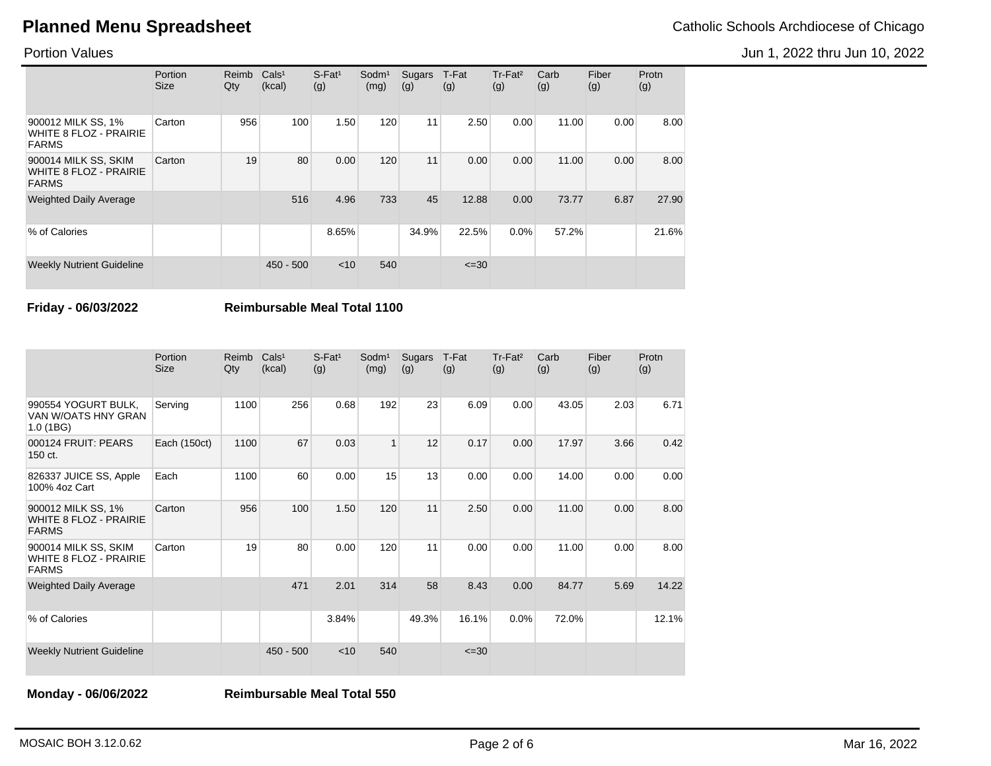Jun 1, 2022 thru Jun 10, 2022

Portion Values

|                                                                       | Portion<br><b>Size</b> | Reimb<br>Qty | Cals <sup>1</sup><br>(kcal) | $S$ -Fat <sup>1</sup><br>(g) | Sodm <sup>1</sup><br>(mg) | Sugars<br>(g) | T-Fat<br>(g) | $Tr-Fat2$<br>(g) | Carb<br>(g) | Fiber<br>(g) | Protn<br>(g) |
|-----------------------------------------------------------------------|------------------------|--------------|-----------------------------|------------------------------|---------------------------|---------------|--------------|------------------|-------------|--------------|--------------|
| 900012 MILK SS, 1%<br>WHITE 8 FLOZ - PRAIRIE<br><b>FARMS</b>          | Carton                 | 956          | 100                         | 1.50                         | 120                       | 11            | 2.50         | 0.00             | 11.00       | 0.00         | 8.00         |
| 900014 MILK SS, SKIM<br><b>WHITE 8 FLOZ - PRAIRIE</b><br><b>FARMS</b> | Carton                 | 19           | 80                          | 0.00                         | 120                       | 11            | 0.00         | 0.00             | 11.00       | 0.00         | 8.00         |
| <b>Weighted Daily Average</b>                                         |                        |              | 516                         | 4.96                         | 733                       | 45            | 12.88        | 0.00             | 73.77       | 6.87         | 27.90        |
| % of Calories                                                         |                        |              |                             | 8.65%                        |                           | 34.9%         | 22.5%        | $0.0\%$          | 57.2%       |              | 21.6%        |
| <b>Weekly Nutrient Guideline</b>                                      |                        |              | $450 - 500$                 | $<$ 10                       | 540                       |               | $\leq 30$    |                  |             |              |              |

**Friday - 06/03/2022 Reimbursable Meal Total 1100**

|                                                                       | Portion<br>Size | Reimb<br>Qty | Cals <sup>1</sup><br>(kcal) | $S$ -Fat <sup>1</sup><br>(g) | Sodm <sup>1</sup><br>(mg) | Sugars<br>(g) | T-Fat<br>(g) | Tr-Fat <sup>2</sup><br>(g) | Carb<br>(g) | Fiber<br>(g) | Protn<br>(g) |
|-----------------------------------------------------------------------|-----------------|--------------|-----------------------------|------------------------------|---------------------------|---------------|--------------|----------------------------|-------------|--------------|--------------|
| 990554 YOGURT BULK,<br>VAN W/OATS HNY GRAN<br>1.0(1BG)                | Serving         | 1100         | 256                         | 0.68                         | 192                       | 23            | 6.09         | 0.00                       | 43.05       | 2.03         | 6.71         |
| 000124 FRUIT: PEARS<br>150 ct.                                        | Each (150ct)    | 1100         | 67                          | 0.03                         | $\mathbf{1}$              | 12            | 0.17         | 0.00                       | 17.97       | 3.66         | 0.42         |
| 826337 JUICE SS, Apple<br>100% 4oz Cart                               | Each            | 1100         | 60                          | 0.00                         | 15                        | 13            | 0.00         | 0.00                       | 14.00       | 0.00         | 0.00         |
| 900012 MILK SS, 1%<br><b>WHITE 8 FLOZ - PRAIRIE</b><br><b>FARMS</b>   | Carton          | 956          | 100                         | 1.50                         | 120                       | 11            | 2.50         | 0.00                       | 11.00       | 0.00         | 8.00         |
| 900014 MILK SS, SKIM<br><b>WHITE 8 FLOZ - PRAIRIE</b><br><b>FARMS</b> | Carton          | 19           | 80                          | 0.00                         | 120                       | 11            | 0.00         | 0.00                       | 11.00       | 0.00         | 8.00         |
| <b>Weighted Daily Average</b>                                         |                 |              | 471                         | 2.01                         | 314                       | 58            | 8.43         | 0.00                       | 84.77       | 5.69         | 14.22        |
| % of Calories                                                         |                 |              |                             | 3.84%                        |                           | 49.3%         | 16.1%        | 0.0%                       | 72.0%       |              | 12.1%        |
| <b>Weekly Nutrient Guideline</b>                                      |                 |              | $450 - 500$                 | $<$ 10                       | 540                       |               | $\leq 30$    |                            |             |              |              |

**Monday - 06/06/2022 Reimbursable Meal Total 550**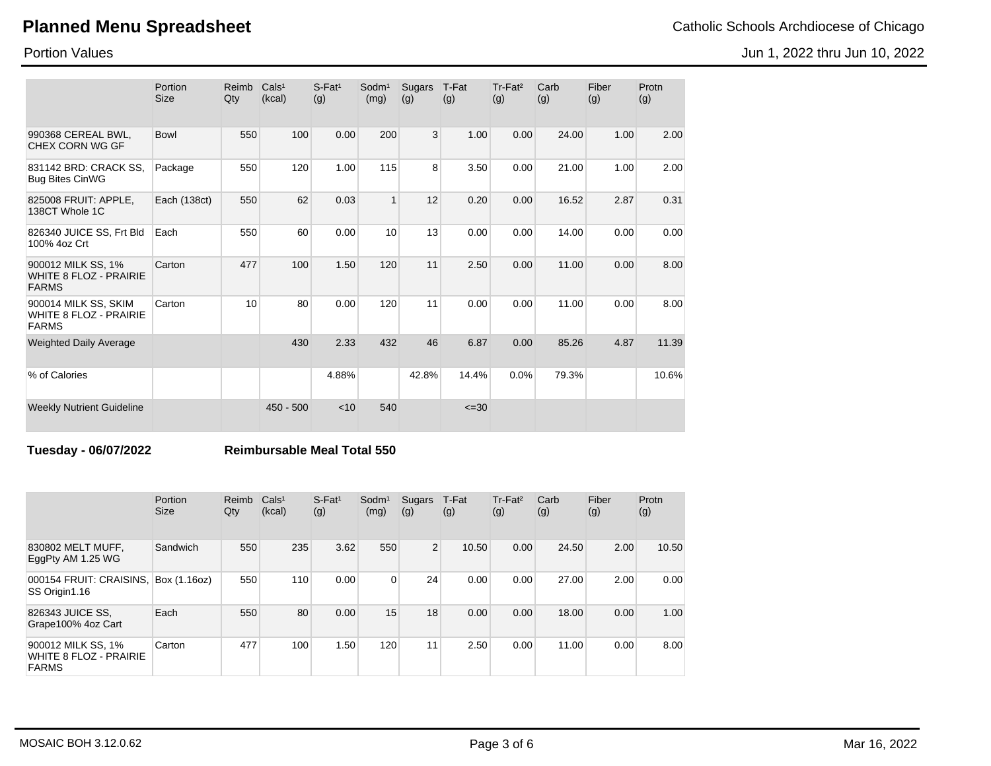Portion Size

Reimb Cals<sup>1</sup> Qty

(kcal)

### Portion Values

|                      |                                        |        |                      |                      |                      |                      |                      | Jun 1, 2022 thru |
|----------------------|----------------------------------------|--------|----------------------|----------------------|----------------------|----------------------|----------------------|------------------|
| $S-Fat1$<br>(g)      | Sodm <sup>1</sup> Sugars T-Fat<br>(mg) | (g)    | (g)                  | $Tr-Fat^2$<br>(g)    | Carb<br>(g)          | Fiber<br>(g)         | Protn<br>(g)         |                  |
| $\sim$ $\sim$ $\sim$ | $- - -$                                | $\sim$ | $\sim$ $\sim$ $\sim$ | $\sim$ $\sim$ $\sim$ | $\sim$ $\sim$ $\sim$ | $\sim$ $\sim$ $\sim$ | $\sim$ $\sim$ $\sim$ |                  |

| 990368 CEREAL BWL,<br>CHEX CORN WG GF                                 | Bowl         | 550 | 100         | 0.00  | 200          | 3     | 1.00      | 0.00 | 24.00 | 1.00 | 2.00  |
|-----------------------------------------------------------------------|--------------|-----|-------------|-------|--------------|-------|-----------|------|-------|------|-------|
| 831142 BRD: CRACK SS.<br><b>Bug Bites CinWG</b>                       | Package      | 550 | 120         | 1.00  | 115          | 8     | 3.50      | 0.00 | 21.00 | 1.00 | 2.00  |
| 825008 FRUIT: APPLE,<br>138CT Whole 1C                                | Each (138ct) | 550 | 62          | 0.03  | $\mathbf{1}$ | 12    | 0.20      | 0.00 | 16.52 | 2.87 | 0.31  |
| 826340 JUICE SS, Frt Bld<br>100% 4oz Crt                              | Each         | 550 | 60          | 0.00  | 10           | 13    | 0.00      | 0.00 | 14.00 | 0.00 | 0.00  |
| 900012 MILK SS, 1%<br><b>WHITE 8 FLOZ - PRAIRIE</b><br><b>FARMS</b>   | Carton       | 477 | 100         | 1.50  | 120          | 11    | 2.50      | 0.00 | 11.00 | 0.00 | 8.00  |
| 900014 MILK SS, SKIM<br><b>WHITE 8 FLOZ - PRAIRIE</b><br><b>FARMS</b> | Carton       | 10  | 80          | 0.00  | 120          | 11    | 0.00      | 0.00 | 11.00 | 0.00 | 8.00  |
| <b>Weighted Daily Average</b>                                         |              |     | 430         | 2.33  | 432          | 46    | 6.87      | 0.00 | 85.26 | 4.87 | 11.39 |
| % of Calories                                                         |              |     |             | 4.88% |              | 42.8% | 14.4%     | 0.0% | 79.3% |      | 10.6% |
| <b>Weekly Nutrient Guideline</b>                                      |              |     | $450 - 500$ | < 10  | 540          |       | $\leq 30$ |      |       |      |       |

## **Tuesday - 06/07/2022 Reimbursable Meal Total 550**

|                                                                     | Portion<br><b>Size</b> | Reimb<br>Qty | Cals <sup>1</sup><br>(kcal) | $S$ -Fat <sup>1</sup><br>(g) | Sodm <sup>1</sup><br>(mg) | Sugars<br>(g)  | T-Fat<br>(g) | Tr-Fat <sup>2</sup><br>(g) | Carb<br>(g) | Fiber<br>(g) | Protn<br>(g) |
|---------------------------------------------------------------------|------------------------|--------------|-----------------------------|------------------------------|---------------------------|----------------|--------------|----------------------------|-------------|--------------|--------------|
| 830802 MELT MUFF,<br>EggPty AM 1.25 WG                              | Sandwich               | 550          | 235                         | 3.62                         | 550                       | $\overline{2}$ | 10.50        | 0.00                       | 24.50       | 2.00         | 10.50        |
| 000154 FRUIT: CRAISINS,<br>SS Origin1.16                            | Box (1.16oz)           | 550          | 110                         | 0.00                         | 0                         | 24             | 0.00         | 0.00                       | 27.00       | 2.00         | 0.00         |
| 826343 JUICE SS,<br>Grape100% 4oz Cart                              | Each                   | 550          | 80                          | 0.00                         | 15                        | 18             | 0.00         | 0.00                       | 18.00       | 0.00         | 1.00         |
| 900012 MILK SS, 1%<br><b>WHITE 8 FLOZ - PRAIRIE</b><br><b>FARMS</b> | Carton                 | 477          | 100                         | 1.50                         | 120                       | 11             | 2.50         | 0.00                       | 11.00       | 0.00         | 8.00         |

u Jun 10, 2022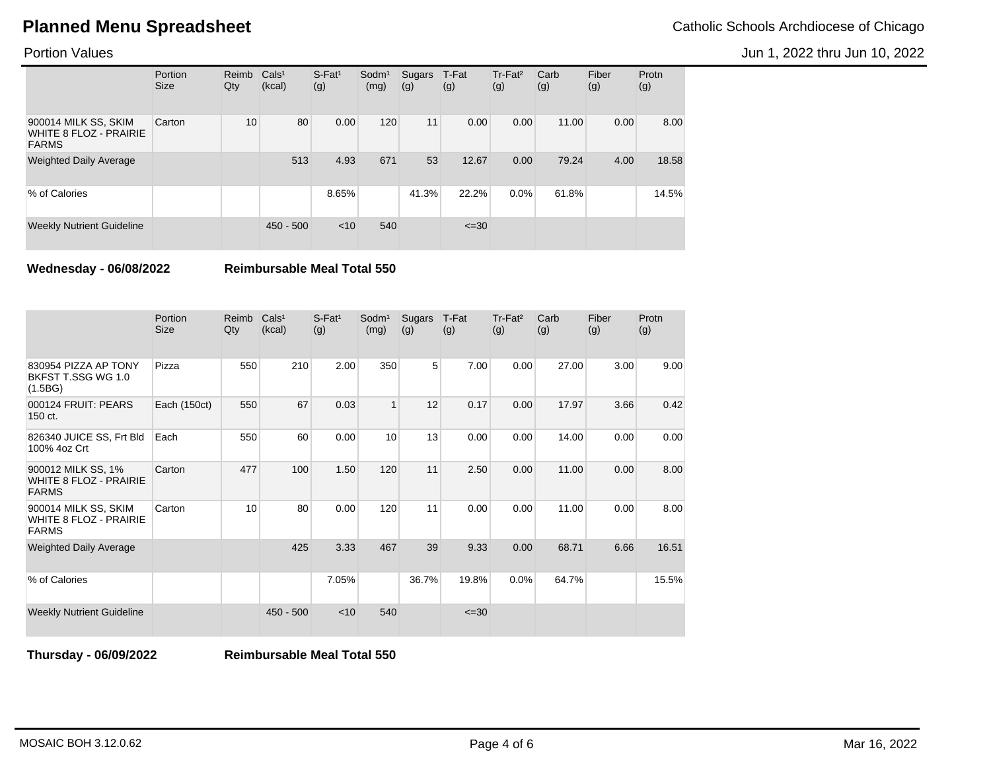Jun 1, 2022 thru Jun 10, 2022

Portion Values

|                                                                       | Portion<br><b>Size</b> | Reimb<br>Qty | Cals <sup>1</sup><br>(kcal) | $S$ -Fat <sup>1</sup><br>(g) | Sodm <sup>1</sup><br>(mg) | Sugars<br>(g) | T-Fat<br>(g) | Tr-Fat <sup>2</sup><br>(g) | Carb<br>(g) | Fiber<br>(g) | Protn<br>(g) |
|-----------------------------------------------------------------------|------------------------|--------------|-----------------------------|------------------------------|---------------------------|---------------|--------------|----------------------------|-------------|--------------|--------------|
| 900014 MILK SS, SKIM<br><b>WHITE 8 FLOZ - PRAIRIE</b><br><b>FARMS</b> | Carton                 | 10           | 80                          | 0.00                         | 120                       | 11            | 0.00         | 0.00                       | 11.00       | 0.00         | 8.00         |
| <b>Weighted Daily Average</b>                                         |                        |              | 513                         | 4.93                         | 671                       | 53            | 12.67        | 0.00                       | 79.24       | 4.00         | 18.58        |
| % of Calories                                                         |                        |              |                             | 8.65%                        |                           | 41.3%         | 22.2%        | 0.0%                       | 61.8%       |              | 14.5%        |
| <b>Weekly Nutrient Guideline</b>                                      |                        |              | $450 - 500$                 | < 10                         | 540                       |               | $\leq 30$    |                            |             |              |              |

**Wednesday - 06/08/2022 Reimbursable Meal Total 550**

|                                                                       | Portion<br><b>Size</b> | Reimb<br>Qty | Cals <sup>1</sup><br>(kcal) | $S-Fat1$<br>(g) | Sodm <sup>1</sup><br>(mg) | Sugars<br>(g) | T-Fat<br>(g) | Tr-Fat <sup>2</sup><br>(g) | Carb<br>(g) | Fiber<br>(g) | Protn<br>(g) |
|-----------------------------------------------------------------------|------------------------|--------------|-----------------------------|-----------------|---------------------------|---------------|--------------|----------------------------|-------------|--------------|--------------|
| 830954 PIZZA AP TONY<br>BKFST T.SSG WG 1.0<br>(1.5BG)                 | Pizza                  | 550          | 210                         | 2.00            | 350                       | 5             | 7.00         | 0.00                       | 27.00       | 3.00         | 9.00         |
| 000124 FRUIT: PEARS<br>150 ct.                                        | Each (150ct)           | 550          | 67                          | 0.03            | $\mathbf{1}$              | 12            | 0.17         | 0.00                       | 17.97       | 3.66         | 0.42         |
| 826340 JUICE SS, Frt Bld<br>100% 4oz Crt                              | Each                   | 550          | 60                          | 0.00            | 10                        | 13            | 0.00         | 0.00                       | 14.00       | 0.00         | 0.00         |
| 900012 MILK SS, 1%<br><b>WHITE 8 FLOZ - PRAIRIE</b><br><b>FARMS</b>   | Carton                 | 477          | 100                         | 1.50            | 120                       | 11            | 2.50         | 0.00                       | 11.00       | 0.00         | 8.00         |
| 900014 MILK SS, SKIM<br><b>WHITE 8 FLOZ - PRAIRIE</b><br><b>FARMS</b> | Carton                 | 10           | 80                          | 0.00            | 120                       | 11            | 0.00         | 0.00                       | 11.00       | 0.00         | 8.00         |
| <b>Weighted Daily Average</b>                                         |                        |              | 425                         | 3.33            | 467                       | 39            | 9.33         | 0.00                       | 68.71       | 6.66         | 16.51        |
| % of Calories                                                         |                        |              |                             | 7.05%           |                           | 36.7%         | 19.8%        | 0.0%                       | 64.7%       |              | 15.5%        |
| <b>Weekly Nutrient Guideline</b>                                      |                        |              | $450 - 500$                 | $<$ 10          | 540                       |               | $\leq 30$    |                            |             |              |              |

**Thursday - 06/09/2022 Reimbursable Meal Total 550**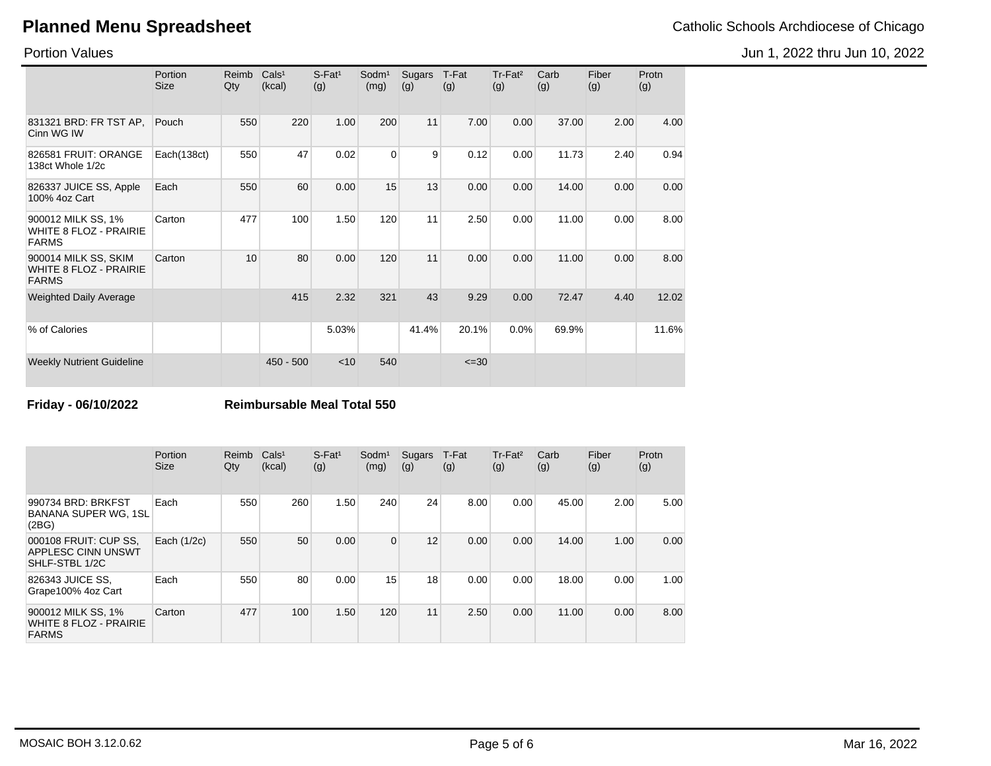Jun 1, 2022 thru Jun 10, 2022

Portion Values

|                                                                       | Portion<br><b>Size</b> | Reimb<br>Qty | Cals <sup>1</sup><br>(kcal) | $S$ -Fat <sup>1</sup><br>(g) | Sodm <sup>1</sup><br>(mg) | Sugars<br>(g) | T-Fat<br>(g) | Tr-Fat <sup>2</sup><br>(g) | Carb<br>(g) | Fiber<br>(g) | Protn<br>(g) |
|-----------------------------------------------------------------------|------------------------|--------------|-----------------------------|------------------------------|---------------------------|---------------|--------------|----------------------------|-------------|--------------|--------------|
| 831321 BRD: FR TST AP,<br>Cinn WG IW                                  | Pouch                  | 550          | 220                         | 1.00                         | 200                       | 11            | 7.00         | 0.00                       | 37.00       | 2.00         | 4.00         |
| 826581 FRUIT: ORANGE<br>138ct Whole 1/2c                              | Each(138ct)            | 550          | 47                          | 0.02                         | $\Omega$                  | 9             | 0.12         | 0.00                       | 11.73       | 2.40         | 0.94         |
| 826337 JUICE SS, Apple<br>100% 4oz Cart                               | Each                   | 550          | 60                          | 0.00                         | 15                        | 13            | 0.00         | 0.00                       | 14.00       | 0.00         | 0.00         |
| 900012 MILK SS, 1%<br><b>WHITE 8 FLOZ - PRAIRIE</b><br><b>FARMS</b>   | Carton                 | 477          | 100                         | 1.50                         | 120                       | 11            | 2.50         | 0.00                       | 11.00       | 0.00         | 8.00         |
| 900014 MILK SS, SKIM<br><b>WHITE 8 FLOZ - PRAIRIE</b><br><b>FARMS</b> | Carton                 | 10           | 80                          | 0.00                         | 120                       | 11            | 0.00         | 0.00                       | 11.00       | 0.00         | 8.00         |
| <b>Weighted Daily Average</b>                                         |                        |              | 415                         | 2.32                         | 321                       | 43            | 9.29         | 0.00                       | 72.47       | 4.40         | 12.02        |
| % of Calories                                                         |                        |              |                             | 5.03%                        |                           | 41.4%         | 20.1%        | 0.0%                       | 69.9%       |              | 11.6%        |
| <b>Weekly Nutrient Guideline</b>                                      |                        |              | $450 - 500$                 | $<$ 10                       | 540                       |               | $\leq 30$    |                            |             |              |              |

**Friday - 06/10/2022 Reimbursable Meal Total 550**

|                                                                      | Portion<br><b>Size</b> | Reimb<br>Qty | Cals <sup>1</sup><br>(kcal) | $S$ -Fat <sup>1</sup><br>(g) | Sodm <sup>1</sup><br>(mg) | Sugars<br>(g) | T-Fat<br>(g) | Tr-Fat <sup>2</sup><br>(g) | Carb<br>(g) | Fiber<br>(g) | Protn<br>(g) |
|----------------------------------------------------------------------|------------------------|--------------|-----------------------------|------------------------------|---------------------------|---------------|--------------|----------------------------|-------------|--------------|--------------|
| 990734 BRD: BRKFST<br><b>BANANA SUPER WG. 1SL</b><br>(2BG)           | Each                   | 550          | 260                         | 1.50                         | 240                       | 24            | 8.00         | 0.00                       | 45.00       | 2.00         | 5.00         |
| 000108 FRUIT: CUP SS,<br><b>APPLESC CINN UNSWT</b><br>SHLF-STBL 1/2C | Each (1/2c)            | 550          | 50                          | 0.00                         | $\overline{0}$            | 12            | 0.00         | 0.00                       | 14.00       | 1.00         | 0.00         |
| 826343 JUICE SS,<br>Grape100% 4oz Cart                               | Each                   | 550          | 80                          | 0.00                         | 15                        | 18            | 0.00         | 0.00                       | 18.00       | 0.00         | 1.00         |
| 900012 MILK SS, 1%<br><b>WHITE 8 FLOZ - PRAIRIE</b><br><b>FARMS</b>  | Carton                 | 477          | 100                         | 1.50                         | 120                       | 11            | 2.50         | 0.00                       | 11.00       | 0.00         | 8.00         |